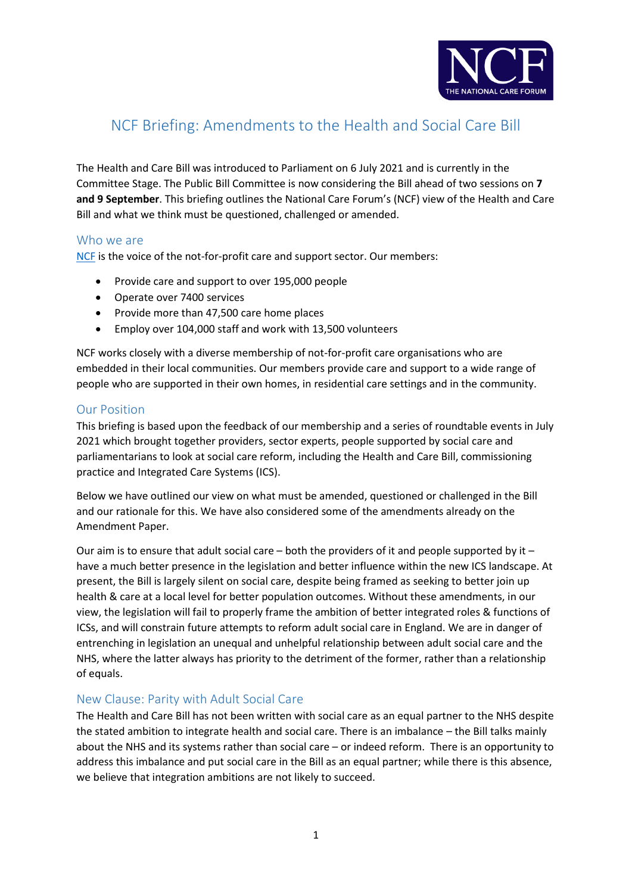

# NCF Briefing: Amendments to the Health and Social Care Bill

The Health and Care Bill was introduced to Parliament on 6 July 2021 and is currently in the Committee Stage. The Public Bill Committee is now considering the Bill ahead of two sessions on **7 and 9 September**. This briefing outlines the National Care Forum's (NCF) view of the Health and Care Bill and what we think must be questioned, challenged or amended.

# Who we are

[NCF](https://www.nationalcareforum.org.uk/) is the voice of the not-for-profit care and support sector. Our members:

- Provide care and support to over 195,000 people
- Operate over 7400 services
- Provide more than 47,500 care home places
- Employ over 104,000 staff and work with 13,500 volunteers

NCF works closely with a diverse membership of not-for-profit care organisations who are embedded in their local communities. Our members provide care and support to a wide range of people who are supported in their own homes, in residential care settings and in the community.

# Our Position

This briefing is based upon the feedback of our membership and a series of roundtable events in July 2021 which brought together providers, sector experts, people supported by social care and parliamentarians to look at social care reform, including the Health and Care Bill, commissioning practice and Integrated Care Systems (ICS).

Below we have outlined our view on what must be amended, questioned or challenged in the Bill and our rationale for this. We have also considered some of the amendments already on the Amendment Paper.

Our aim is to ensure that adult social care – both the providers of it and people supported by it – have a much better presence in the legislation and better influence within the new ICS landscape. At present, the Bill is largely silent on social care, despite being framed as seeking to better join up health & care at a local level for better population outcomes. Without these amendments, in our view, the legislation will fail to properly frame the ambition of better integrated roles & functions of ICSs, and will constrain future attempts to reform adult social care in England. We are in danger of entrenching in legislation an unequal and unhelpful relationship between adult social care and the NHS, where the latter always has priority to the detriment of the former, rather than a relationship of equals.

# New Clause: Parity with Adult Social Care

The Health and Care Bill has not been written with social care as an equal partner to the NHS despite the stated ambition to integrate health and social care. There is an imbalance – the Bill talks mainly about the NHS and its systems rather than social care – or indeed reform. There is an opportunity to address this imbalance and put social care in the Bill as an equal partner; while there is this absence, we believe that integration ambitions are not likely to succeed.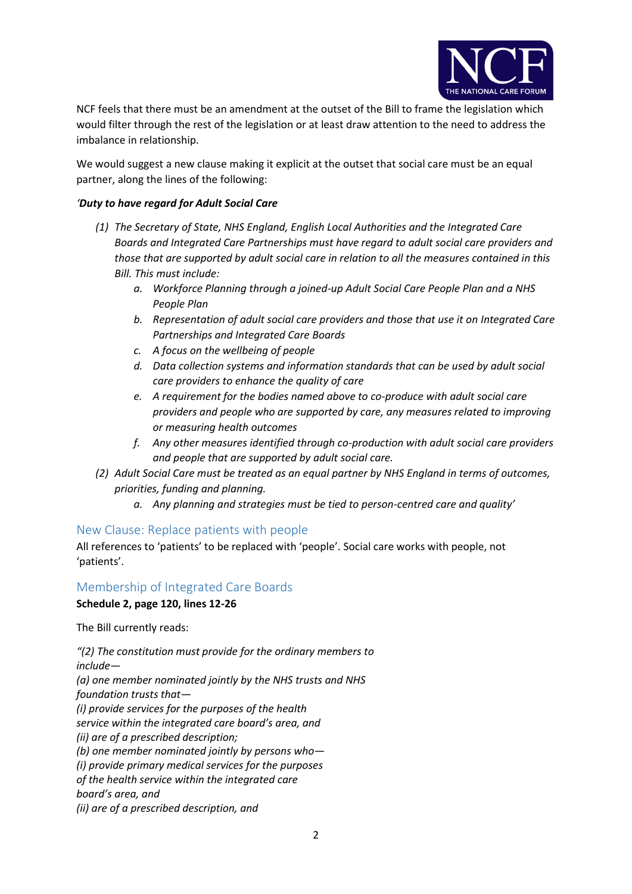

NCF feels that there must be an amendment at the outset of the Bill to frame the legislation which would filter through the rest of the legislation or at least draw attention to the need to address the imbalance in relationship.

We would suggest a new clause making it explicit at the outset that social care must be an equal partner, along the lines of the following:

## *'Duty to have regard for Adult Social Care*

- *(1) The Secretary of State, NHS England, English Local Authorities and the Integrated Care Boards and Integrated Care Partnerships must have regard to adult social care providers and those that are supported by adult social care in relation to all the measures contained in this Bill. This must include:*
	- *a. Workforce Planning through a joined-up Adult Social Care People Plan and a NHS People Plan*
	- *b. Representation of adult social care providers and those that use it on Integrated Care Partnerships and Integrated Care Boards*
	- *c. A focus on the wellbeing of people*
	- *d. Data collection systems and information standards that can be used by adult social care providers to enhance the quality of care*
	- *e. A requirement for the bodies named above to co-produce with adult social care providers and people who are supported by care, any measures related to improving or measuring health outcomes*
	- *f. Any other measures identified through co-production with adult social care providers and people that are supported by adult social care.*
- *(2) Adult Social Care must be treated as an equal partner by NHS England in terms of outcomes, priorities, funding and planning.*
	- *a. Any planning and strategies must be tied to person-centred care and quality'*

## New Clause: Replace patients with people

All references to 'patients' to be replaced with 'people'. Social care works with people, not 'patients'.

# Membership of Integrated Care Boards **Schedule 2, page 120, lines 12-26**

The Bill currently reads:

*"(2) The constitution must provide for the ordinary members to include— (a) one member nominated jointly by the NHS trusts and NHS foundation trusts that— (i) provide services for the purposes of the health service within the integrated care board's area, and (ii) are of a prescribed description; (b) one member nominated jointly by persons who— (i) provide primary medical services for the purposes of the health service within the integrated care board's area, and (ii) are of a prescribed description, and*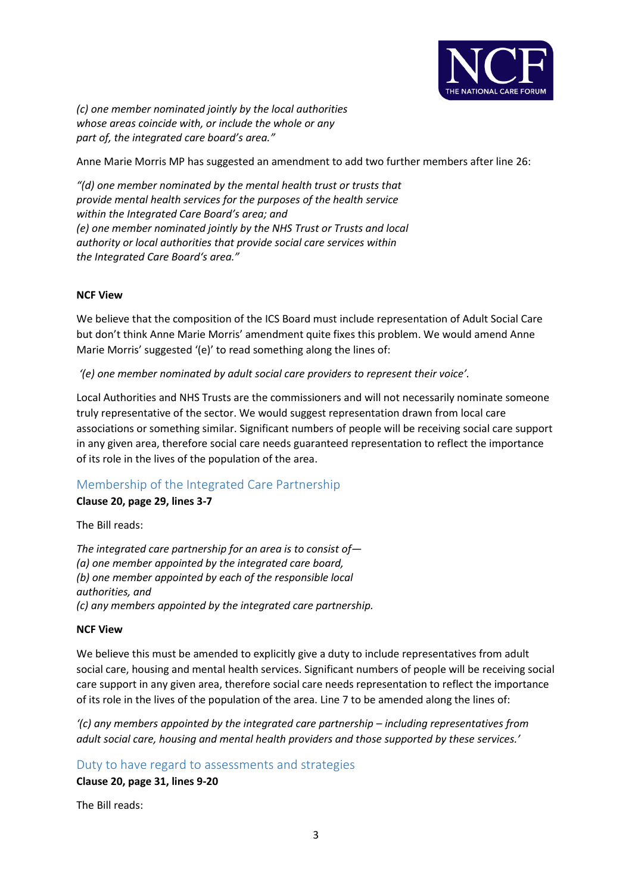

*(c) one member nominated jointly by the local authorities whose areas coincide with, or include the whole or any part of, the integrated care board's area."*

Anne Marie Morris MP has suggested an amendment to add two further members after line 26:

*"(d) one member nominated by the mental health trust or trusts that provide mental health services for the purposes of the health service within the Integrated Care Board's area; and (e) one member nominated jointly by the NHS Trust or Trusts and local authority or local authorities that provide social care services within the Integrated Care Board's area."*

#### **NCF View**

We believe that the composition of the ICS Board must include representation of Adult Social Care but don't think Anne Marie Morris' amendment quite fixes this problem. We would amend Anne Marie Morris' suggested '(e)' to read something along the lines of:

*'(e) one member nominated by adult social care providers to represent their voice'.*

Local Authorities and NHS Trusts are the commissioners and will not necessarily nominate someone truly representative of the sector. We would suggest representation drawn from local care associations or something similar. Significant numbers of people will be receiving social care support in any given area, therefore social care needs guaranteed representation to reflect the importance of its role in the lives of the population of the area.

## Membership of the Integrated Care Partnership

**Clause 20, page 29, lines 3-7**

The Bill reads:

*The integrated care partnership for an area is to consist of— (a) one member appointed by the integrated care board, (b) one member appointed by each of the responsible local authorities, and (c) any members appointed by the integrated care partnership.*

#### **NCF View**

We believe this must be amended to explicitly give a duty to include representatives from adult social care, housing and mental health services. Significant numbers of people will be receiving social care support in any given area, therefore social care needs representation to reflect the importance of its role in the lives of the population of the area. Line 7 to be amended along the lines of:

*'(c) any members appointed by the integrated care partnership – including representatives from adult social care, housing and mental health providers and those supported by these services.'* 

Duty to have regard to assessments and strategies

**Clause 20, page 31, lines 9-20**

The Bill reads: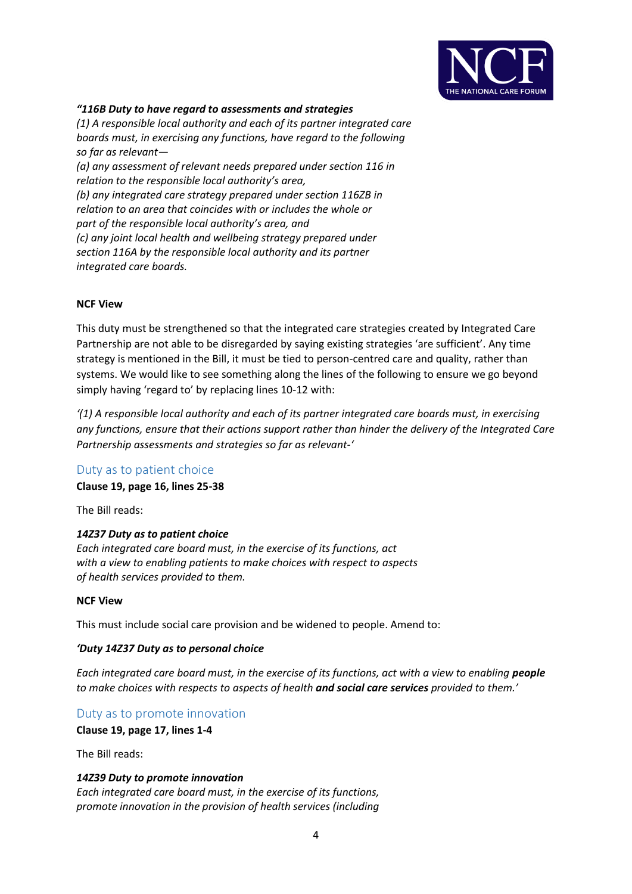

#### *"116B Duty to have regard to assessments and strategies*

*(1) A responsible local authority and each of its partner integrated care boards must, in exercising any functions, have regard to the following so far as relevant—*

*(a) any assessment of relevant needs prepared under section 116 in relation to the responsible local authority's area, (b) any integrated care strategy prepared under section 116ZB in relation to an area that coincides with or includes the whole or part of the responsible local authority's area, and (c) any joint local health and wellbeing strategy prepared under section 116A by the responsible local authority and its partner integrated care boards.*

#### **NCF View**

This duty must be strengthened so that the integrated care strategies created by Integrated Care Partnership are not able to be disregarded by saying existing strategies 'are sufficient'. Any time strategy is mentioned in the Bill, it must be tied to person-centred care and quality, rather than systems. We would like to see something along the lines of the following to ensure we go beyond simply having 'regard to' by replacing lines 10-12 with:

*'(1) A responsible local authority and each of its partner integrated care boards must, in exercising any functions, ensure that their actions support rather than hinder the delivery of the Integrated Care Partnership assessments and strategies so far as relevant-'*

## Duty as to patient choice

**Clause 19, page 16, lines 25-38**

The Bill reads:

#### *14Z37 Duty as to patient choice*

*Each integrated care board must, in the exercise of its functions, act with a view to enabling patients to make choices with respect to aspects of health services provided to them.*

#### **NCF View**

This must include social care provision and be widened to people. Amend to:

#### *'Duty 14Z37 Duty as to personal choice*

*Each integrated care board must, in the exercise of its functions, act with a view to enabling people to make choices with respects to aspects of health and social care services provided to them.'*

Duty as to promote innovation

**Clause 19, page 17, lines 1-4**

The Bill reads:

#### *14Z39 Duty to promote innovation*

*Each integrated care board must, in the exercise of its functions, promote innovation in the provision of health services (including*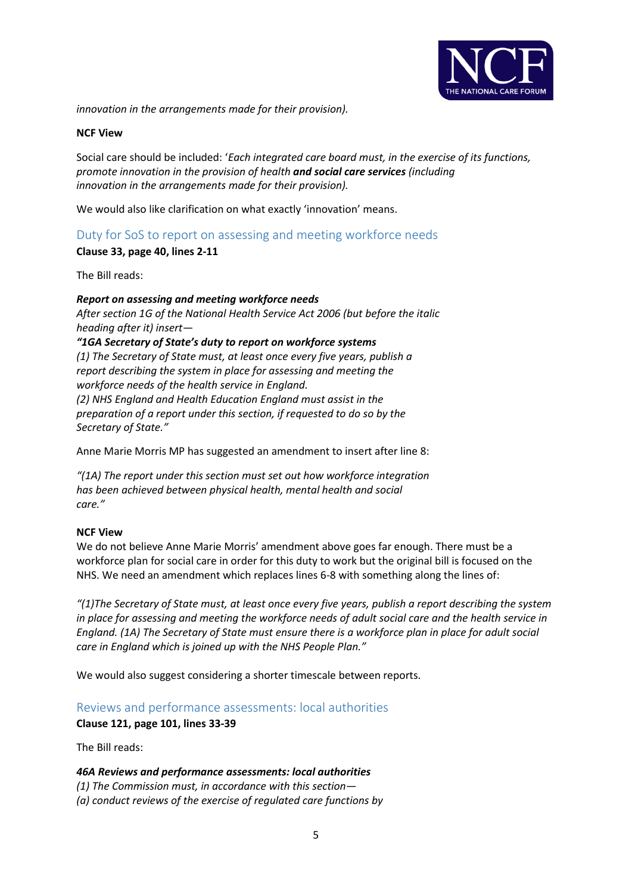

*innovation in the arrangements made for their provision).*

#### **NCF View**

Social care should be included: '*Each integrated care board must, in the exercise of its functions, promote innovation in the provision of health and social care services (including innovation in the arrangements made for their provision).*

We would also like clarification on what exactly 'innovation' means.

# Duty for SoS to report on assessing and meeting workforce needs

#### **Clause 33, page 40, lines 2-11**

The Bill reads:

# *Report on assessing and meeting workforce needs After section 1G of the National Health Service Act 2006 (but before the italic heading after it) insert— "1GA Secretary of State's duty to report on workforce systems (1) The Secretary of State must, at least once every five years, publish a report describing the system in place for assessing and meeting the workforce needs of the health service in England. (2) NHS England and Health Education England must assist in the preparation of a report under this section, if requested to do so by the Secretary of State."*

Anne Marie Morris MP has suggested an amendment to insert after line 8:

*"(1A) The report under this section must set out how workforce integration has been achieved between physical health, mental health and social care."*

#### **NCF View**

We do not believe Anne Marie Morris' amendment above goes far enough. There must be a workforce plan for social care in order for this duty to work but the original bill is focused on the NHS. We need an amendment which replaces lines 6-8 with something along the lines of:

*"(1)The Secretary of State must, at least once every five years, publish a report describing the system in place for assessing and meeting the workforce needs of adult social care and the health service in England. (1A) The Secretary of State must ensure there is a workforce plan in place for adult social care in England which is joined up with the NHS People Plan."*

We would also suggest considering a shorter timescale between reports.

## Reviews and performance assessments: local authorities

**Clause 121, page 101, lines 33-39**

The Bill reads:

#### *46A Reviews and performance assessments: local authorities*

*(1) The Commission must, in accordance with this section— (a) conduct reviews of the exercise of regulated care functions by*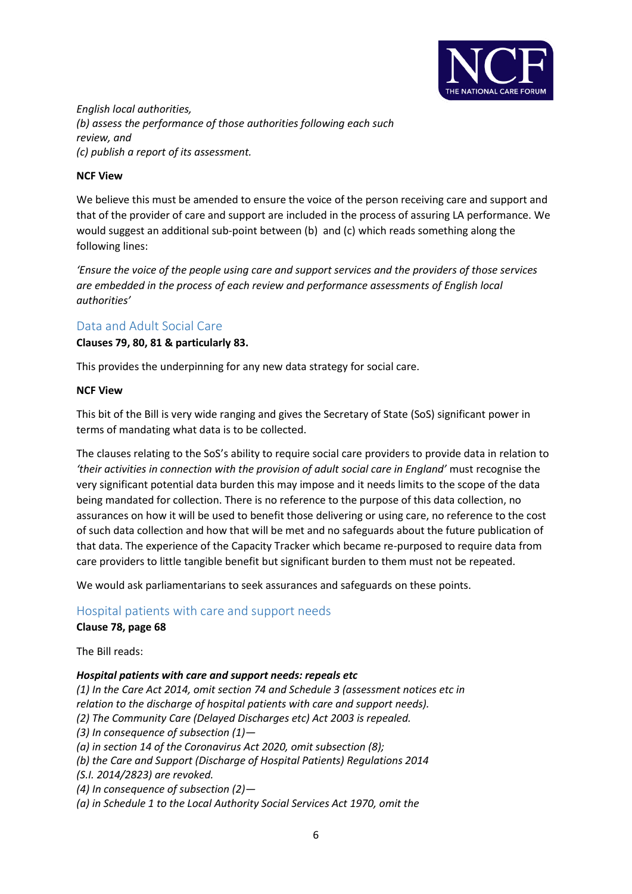

*English local authorities, (b) assess the performance of those authorities following each such review, and (c) publish a report of its assessment.*

## **NCF View**

We believe this must be amended to ensure the voice of the person receiving care and support and that of the provider of care and support are included in the process of assuring LA performance. We would suggest an additional sub-point between (b) and (c) which reads something along the following lines:

*'Ensure the voice of the people using care and support services and the providers of those services are embedded in the process of each review and performance assessments of English local authorities'* 

# Data and Adult Social Care

**Clauses 79, 80, 81 & particularly 83.** 

This provides the underpinning for any new data strategy for social care.

#### **NCF View**

This bit of the Bill is very wide ranging and gives the Secretary of State (SoS) significant power in terms of mandating what data is to be collected.

The clauses relating to the SoS's ability to require social care providers to provide data in relation to *'their activities in connection with the provision of adult social care in England'* must recognise the very significant potential data burden this may impose and it needs limits to the scope of the data being mandated for collection. There is no reference to the purpose of this data collection, no assurances on how it will be used to benefit those delivering or using care, no reference to the cost of such data collection and how that will be met and no safeguards about the future publication of that data. The experience of the Capacity Tracker which became re-purposed to require data from care providers to little tangible benefit but significant burden to them must not be repeated.

We would ask parliamentarians to seek assurances and safeguards on these points.

# Hospital patients with care and support needs

#### **Clause 78, page 68**

The Bill reads:

#### *Hospital patients with care and support needs: repeals etc*

*(1) In the Care Act 2014, omit section 74 and Schedule 3 (assessment notices etc in relation to the discharge of hospital patients with care and support needs). (2) The Community Care (Delayed Discharges etc) Act 2003 is repealed. (3) In consequence of subsection (1)— (a) in section 14 of the Coronavirus Act 2020, omit subsection (8); (b) the Care and Support (Discharge of Hospital Patients) Regulations 2014 (S.I. 2014/2823) are revoked. (4) In consequence of subsection (2)— (a) in Schedule 1 to the Local Authority Social Services Act 1970, omit the*